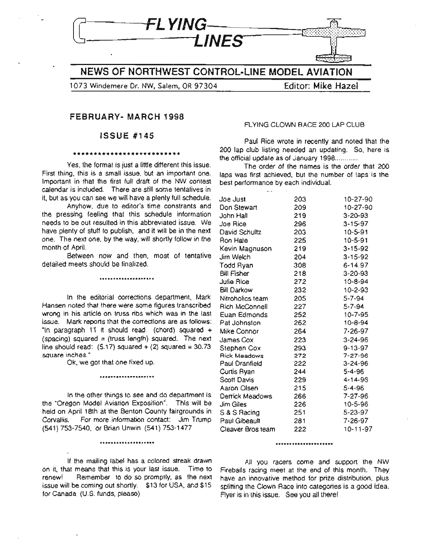

**NEWS OF NORTHWEST CONTROL-LINE MODEL AVIATION**

1073 Windemere Dr. NW, Salem, OR 97304 **Editor: Mike Hazel**

### **FEBRUARY· MARCH 1998**

### **ISSUE #145**

### **\*\*\*\*\*\*\*\*\*\*\*\*\*\*\*\*\*\*\*\*\*\*\*\*\*\***

Yes, the format is just a little different this issue. First thing, this is a small issue, but an important one. Important in that the first full draft of the NW contest calendar is included. There are still some tentatives in it, but as you can see we will have a plenty full schedule.

Anyhow, due to editor's time constrants and the pressing feeling that this schedule information needs to be out resulted in this abbreviated issue. We have plenty of stuff to publish, and it will be in the next one. The next one, by the way, will shortly follow in the month of April.

Between now and then, most of tentative detailed meets should be finalized.

\*\*\*\*\*\*\*\*\*\*\*\*\*\*\*\*\*\*\*\*

In the editorial corrections department, Mark Hansen noted that there were some figures transcribed wrong in his article on truss ribs which was in the last issue. Mark reports that the corrections are as follows: "In paragraph 11 it should read (chord) squared  $+$ (spacing) squared = (truss length) squared. The next line should read:  $(5.17)$  squared +  $(2)$  squared = 30.73 square inches."

Ok, we got that one fixed up.

In the other things to see and do department is the "Oregon Model Aviation Exposition". This will be held on April 18th at the Benton County fairgrounds in Corvallis. For more information contact: Jim Trump (541) 753-7540, or Brian Unwin (541) 753-1477

**\*\*\*\*\*\*\*\*\*\*\*\*\*\*\*\*\*\*\*\***

\*\*\*\*\*~\*\*\*\*\*\*\*\*\*\*\*\*\*\*

If the mailing label has a colored streak drawn on it, that means that this is your last issue. Time to renew! Remember to do so promptly, as the next issue will be coming out shortly. \$13 for USA, and \$15 for Canada (U.S. funds, please)

### FLYING CLOWN BACE 200 LAP CLUB

Paul Rice wrote in recently and noted that the 200 lap club listing needed an updating. So, here is the official update as of January  $1998$ ...........

The order of the names is the order that 200 laps was first achieved, but the number of laps is the best performance by each individual.

| Joe Just            | 203 | 10-27-90      |
|---------------------|-----|---------------|
| Don Stewart         | 209 | 10-27-90      |
| John Hall           | 219 | 3-20-93       |
| Joe Rice            | 296 | $3 - 15 - 97$ |
| David Schultz       | 203 | $10 - 5 - 91$ |
| Ron Hale            | 225 | $10 - 5 - 91$ |
| Kevin Magnuson      | 219 | 3-15-92       |
| Jim Welch           | 204 | $3 - 15 - 92$ |
| Todd Ryan           | 308 | 6-14.97       |
| Bill Fisher         | 218 | 3-20-93       |
| Julie Rice          | 272 | 10-8-94       |
| <b>Bill Darkow</b>  | 232 | 10-2-93       |
| Nitroholics team    | 205 | 5-7-94        |
| Rich McConnell      | 227 | 5-7-94        |
| Euan Edmonds        | 252 | 10-7-95       |
| Pat Johnston        | 262 | $10 - 8 - 94$ |
| Mike Connor         | 264 | 7-26-97       |
| James Cox           | 223 | $3 - 24 - 96$ |
| Stephen Cox         | 293 | $9 - 13 - 97$ |
| <b>Rick Meadows</b> | 272 | 7-27-96       |
| Paul Dranfield      | 222 | $3 - 24 - 96$ |
| Curtis Ryan         | 244 | 5-4-96        |
| Scott Davis         | 229 | 4-14-96       |
| Aaron Olsen         | 215 | 5-4-96        |
| Derrick Meadows     | 266 | 7-27-96       |
| Jim Giles           | 226 | $10 - 5 - 96$ |
| S & S Racing        | 251 | 5-23-97       |
| Paul Gibeault       | 281 | 7-26-97       |
| Cleaver Bros team   | 222 | 10-11-97      |
|                     |     |               |

#### \*\*\*\*\*\*\*\*\*\*\*\*\*\*\*\*\*\*\*\*\*

All you racers come and support the NW Fireballs racing meet at the end of this month. They have an innovative method for prize distribution, plus splitting the Clown Race into categories is a good idea. Flyer is in this issue. See you all there!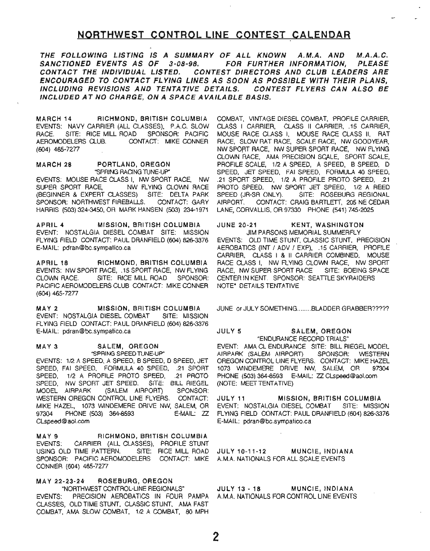### **NORTHWEST CONTROL LINE CONTEST** .CALENDAR

THE FOLLOWING LISTING IS A SUMMARY OF ALL KNOWN A.M.A. AND M.A.A.C. SANCTIONED EVENTS AS OF 3-08-98. FOR FURTHER INFORMATION. PLEASE CONTACT THE INDIVIDUAL LISTED. CONTEST DIRECTORS AND CLUB LEADERS ARE ENCOURAGED TO CONTACT FLYING LINES AS SOON AS POSSIBLE WITH THEIR PLANS, INCLUDING REVISIONS AND TENTATIVE DETAILS. CONTEST FLYERS CAN ALSO BE INCLUDED AT NO CHARGE, ON A SPACE AVAILABLE BASIS.

MARCH 14 RICHMOND, BRITISH COLUMBIA EVENTS: NAVY CARRIER (ALL CLASSES), P.A.C. SLOW RACE. SITE: RICE MILL ROAD SPONSOR: PACIFIC AEROMODELERS CLUB. CONTACT: MIKE CONNER (604) 465-7277

### MARCH 28 PORTLAND, OREGON "SPRING RAONG TUNE-UP"

EVENTS: MOUSE RACE CLASS I, NW SPORT RACE, NW SUPER SPORT RACE, NW FLYING CLOWN RACE (BEGINNER & EXPERT CLASSES) SITE: DELTA PARK SPONSOR: NORTHWEST FIREBALLS. CONTACT: GARY HARRIS (503) 324-3450, OR MARK HANSEN (503) 234-1971

APRIL 4 MISSION, BRITISH COLUMBIA EVENT: NOSTALGIA DIESEL COMBAT SITE: MISSION FLYING FIELD CONTACT: PAUL DRANFIELD (604) 826-3376 E-MAIL: pdran@bc.sympatico.ca

APRIL 18 RICHMOND, BRITISH COLUMBIA EVENTS: NW SPORT RACE, .15 SPORT RACE, NW FLYING CLOWN RACE. SITE: RICE MILL ROAD SPONSOR: PACIFIC AEROMODELERS CLUB CONTACT: MIKE CONNER (604) 465-7277

MAY 2 MISSION, BRITISH COLUMBIA EVENT: NOSTALGIA DIESEL COMBAT SITE: MISSION FLYING FIELD CONTACT: PAUL DRANFIELD (604) 826-3376 E-MAIL: pdran@bc.sympatico.ca

### MAY 3 SALEM, OREGON

"SPRING SPEED TUNE-UP" EVENTS: 1/2 A SPEED, A SPEED, B SPEED, D SPEED, JET SPEED, FAI SPEED, FORMULA 40 SPEED, .21 SPORT SPEED, 1/2 A PROFILE PROTO SPEED, .21 PROTO SPEED, NW SPORT JET SPEED. SITE: BILL RIEGEL MODEL AIRPARK (SALEM AIRPORT) SPONSOR: WESTERN OREGON CONTROL LINE FLYERS. CONTACT: MIKE HAZEL, 1073 W1NDEMERE DRIVE NW, SALEM, OR 97304 PHONE (503) 364-8593 E-MAIL: ZZ CLspeed@aol.com

MAY 9 RICHMOND, BRITISH COLUMBIA EVENTS: CARRIER (ALL CLASSES), PROFILE STUNT USING OLD TIME PATTERN. SITE: RICE MILL ROAD SPONSOR: PACIFIC AEROMODELERS CONTACT: MIKE CONNER (604) 465·7277

MA Y 22-23-24 ROSEBURG, OREGON "NORTHWEST CONTROL-LINE REGIONALS" EVENTS: PRECISION AEROBATICS IN FOUR PAMPA CLASSES, OLD TIME STUNT, CLASSIC STUNT, AMA FAST COMBAT, AMA SLOW COMBAT, 1/2 A COMBAT, 80 MPH

COMBAT, VINTAGE DIESEL COMBAT, PROFILE CARRIER, CLASS I CARRIER, CLASS II CARRIER, .15 CARRIER, MOUSE RACE CLASS I, MOUSE RACE CLASS II, RAT RACE, SLOW RAT RACE, SCALE RACE, NW GOODYEAR, NW SPORT RACE, NW SUPER SPORT RACE, NW FLYING CLOWN RACE, AMA PRECISION SCALE, SPORT SCALE, PROFILE SCALE, 1/2 A SPEED, A SPEED, B SPEED, D SPEED, JET SPEED, FAI SPEED, FORMULA 40 SPEED, .21 SPORT SPEED, 1/2 A PROFILE PROTO SPEED, .21 PROTO SPEED, NW SPORT JET SPEED, 1/2 A REED SPEED (JR-SR ONLY). SITE: ROSEBURG REGIONAL AIRPORT. CONTACT: CRAIG BARTLETT, 205 NE CEDAR LANE, CORVALLIS, OR 97330 PHONE (541) 745-2025

JUNE 20-21 KENT, WASHINGTON JIM PARSONS MEMORIAL SUMMERFLY EVENTS: OLD TIME STUNT, CLASSIC STUNT, PRECISION AEROBATICS (INT / ADV / EXP), .15 CARRIER, PROFILE CARRIER, CLASS I & II CARRIER COMBINED, MOUSE RACE CLASS I, NW FLYING CLOWN RACE, NW SPORT RACE, NW SUPER SPORT RACE SITE: BOEING SPACE CENTER IN KENT. SPONSOR: SEATTLE SKYRAIDERS NOTE- DETAILS TENTATIVE

JUNE or JULY SOMETHING........BLADDER GRABBER?????

### JULY 5 SALEM, OREGON "ENDURANCE RECORD TRIALS"

EVENT: AMA CL ENDURANCE SITE: BILL RIEGEL MODEL AIRPARK (SALEM AIRPORT) SPONSOR: WESTERN OREGON CONTROL LINE FLYERS. CONTACT: MIKE HAZEL 1073 W1NDEMERE DRIVE NW, SALEM, OR 97304 PHONE (503) 364-8593 E-MAIL: ZZ CLspeed@aol.com (NOTE: MEET TENTATIVE)

JULY 11 MISSION, BRITISH COLUMBIA EVENT: NOSTALGIA DIESEL COMBAT SITE: MISSION FLYING FIELD CONTACT: PAUL DRANFIELD (604) 826-3376 E-MAIL: pdran@bc.sympatico.ca

JULY 10-11-12 MUNCIE, INDIANA A.M.A. NATIONALS FOR ALL SCALE EVENTS

JULY 13·18 MUNCIE, INDIANA A.M.A. NATIONALS FOR CONTROL LINE EVENTS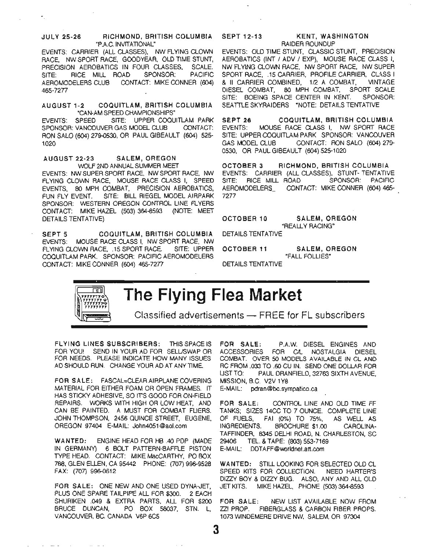### JULY 25-26 RICHMOND, BRITISH COLUMBIA "PAC. INVITATIONAL"

EVENTS: CARRIER (ALL CLASSES), NW FLYING CLOWN RACE, NW SPORT RACE. GOODYEAR, OLD TIME STUNT, PRECISION AEROBATICS IN FOUR CLASSES, SCALE. SITE: RICE MILL ROAD SPONSOR: PACIFIC AEROMODELERS CLUB CONTACT: MIKE CONNER (604) 465-7277

### AUGUST 1-2 COQUITLAM, BRITISH COLUMBIA "CAN-AM SPEED CHAMPIONSHIPS"

EVENTS: SPEED SITE: UPPER COQUITLAM PARK SPONSOR: VANCOUVER GAS MODEL CLUB CONTACT: RON SALO (604) 279-0530. OR PAUL GIBEAULT (604) 525- 1020

### AUGUST 22-23 SALEM, OREGON WOLF 2ND ANNUAL SUMMER MEET

EVENTS: NW SUPER SPORT RACE, NW SPORT RACE, NW FLYING CLOWN RACE, MOUSE RACE CLASS I, SPEED EVENTS, 80 MPH COMBAT. PRECISION AEROBATICS, FUN FLY EVENT. SITE: BILL RIEGEL MODEL AIRPARK SPONSOR: WESTERN OREGON CONTROL LINE FLYERS CONTACT: MIKE HAZEL (503) 364-8593 (NOTE: MEET DETAILS TENTATIVE)

SEPT 5 COQUITLAM, BRITISH COLUMBIA EVENTS: MOUSE RACE CLASS I, NW SPORT RACE, NW FLYING CLOWN RACE, .15 SPORT RACE. SITE: UPPER COQUITLAM PARK. SPONSOR: PACIFIC AEROMODELERS CONTACT: MIKE CONNER (604) 465-7277

## SEPT 12-13 KENT, WASHINGTON

## RAIDER ROUNDUP

EVENTS: OLD TIME STUNT, CLASSIC STUNT, PRECISION AEROBATICS (INT / ADV / EXP), MOUSE RACE CLASS I, NW FLYING CLOWN RACE, NW SPORT RACE, NW SUPER SPORT RACE, .15 CARRIER, PROFILE CARRIER, CLASS I & II CARRIER COMBINED, 1/2 A COMBAT, VINTAGE DIESEL COMBAT, 80 MPH COMBAT, SPORT SCALE SITE: BOEING SPACE CENTER IN KENT. SPONSOR: SEATTLE SKYRAIDERS \*NOTE: DETAILS TENTATIVE

SEPT 26 COQUITLAM, BRITISH COLUMBIA EVENTS: MOUSE RACE CLASS I, NW SPORT RACE SITE: UPPER COQUITLAM PARK SPONSOR: VANCOUVER GAS MODEL CLUB CONTACT: RON SALO (604) 279- 0530, OR PAUL GIBEAULT (604) 525-1020

OCTOBER 3 RICHMOND, BRITISH COLUMBIA EVENTS: CARRIER (ALL CLASSES), STUNT- TENTATIVE SITE: RICE MILL ROAD SPONSOR: PACIFIC AEROMODELERS\_ CONTACT: MIKE CONNER (604) 465-7277

OCTOBER 10 SALEM, OREGON "REALLY RACING"

DETAILS TENTATIVE

OCTOBER 11 SALEM, OREGON

"FALL FOLLIES"

DETAILS TENTATIVE

### пh ://////////<br>}}///////////<br>}}///////// ,,,,,,,,,,,  $\sim$  11  $\times$

# **The Flying Flea Market**

3

Classified advertisements  $-$  FREE for FL subscribers

FLYING LINES SUBSCRIBERS: THIS SPACE IS FOR YOUl SEND IN YOUR AD FOR SELUSWAP OR FOR NEEDS. PLEASE INDICATE HOW MANY ISSUES AD SHOULD RUN. CHANGE YOUR AD AT ANYTIME.

FOR SALE: FASCAL=CLEAR AIRPLANE COVERING MATERIAL FOR EITHER FOAM OR OPEN FRAMES. IT HAS STICKY ADHESIVE, SO ITS GOOD FOR ON-FIELD REPAIRS. WORKS WITH HIGH OR LOW HEAT, AND CAN BE PAINTED. A MUST FOR COMBAT FLIERS. JOHN THOMPSON, 2456 QUINCE STREET, EUGENE, OREGON 97404 E-MAIL: John4051@aol.com

WANTED: ENGINE HEAD FOR HB .40 PDP (MADE IN GERMANY) 6 BOLT PATTERN-BAFFLE PISTON TYPE HEAD. CONTACT: MIKE MacCARTHY, PO BOX 788, GLEN ELLEN, CA 95442 PHONE: (707) 996-9528 FAX: (707) 996-0612

FOR SALE: ONE NEW AND ONE USED DYNA-JET, PLUS ONE SPARE TAILPIPE ALL FOR \$300. 2 EACH SHURIKEN .049 & EXTRA PARTS, ALL FOR \$200 BRUCE DUNCAN, PO BOX 58037, STN. L, VANCOUVER, BC. CANADA V6P 6C5

 $\omega_{\rm{eff}}=2.2\pm0.02$ 

FOR SALE: P.A.W. DIESEL ENGINES AND ACCESSORIES FOR CIL NOSTALGIA DIESEL COMBAT. OVER 50 MODELS AVAILABLE IN CL AND RC FROM .033 TO .60 CU IN. SEND ONE DOLLAR FOR LIST TO: PAUL DRANFIELD, 32763 SIXTH AVENUE, MISSION, B.C. V2V 1Y8 E-MAIL: pdran@bc.sympatico.ca

FOR SALE: CONTROL LINE AND OLD TIME FF TANKS; SIZES 14CC TO 7 OUNCE. COMPLETE LINE OF FUELS, FAI (0%) TO 75%, AS WELL AS INGREDIENTS. BROCHURE \$1.00 CAROLlNA-TAFFINDER, 8345 DELHI ROAD, N. CHARLESTON, SC 29406 TEL. & TAPE: (803) 553-7169 E-MAIL: DDTAFF@worldnet.att.com

WANTED: STILL LOOKING FOR SELECTED OLD CL SPEED KITS FOR COLLECTION. NEED HARTER'S DIZZY BOY & DIZZY BUG. ALSO, ANY AND ALL OLD JET KITS. MIKE HAZEL, PHONE (503) 364-8593

FOR SALE: NEW LIST AVAILABLE NOW FROM ZZ! PROP. FIBERGLASS & CARBON FIBER PROPS. 1073 WINDEMERE DRIVE NW, SALEM, OR 97304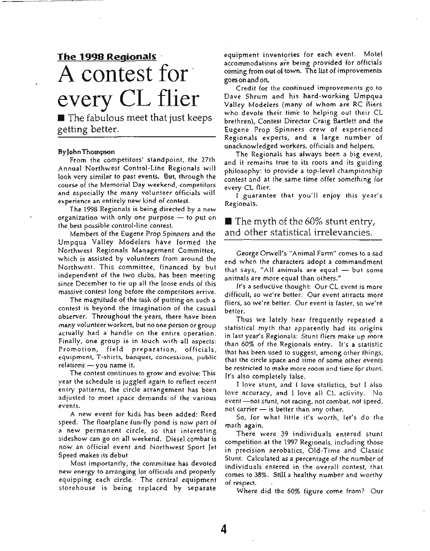# **The 1990 Regionals** . A **contest for** every **CL** flier

 $\blacksquare$  The fabulous meet that just keeps getting better.

### ByJohnThompson

From the competitors' standpoint, the 27th Annual Northwest Control-Line Regionals will look very similar to past events. But, through the course of the Memorial Day weekend, competitors and especially the many volunteer officials will experience an entirely new kind of contest.

The 1998 Regionals is being directed by a new organization with only one purpose  $-$  to put on the best possible control-line contest.

Members of the Eugene Prop Spinners and the Umpqua Valley Modelers have formed the Northwest Regionals Management Committee, which is assisted by volunteers from around the Northwest. This committee, financed by but independent of the two clubs, has been meeting since December to tie up all the loose ends of this massive contest long before the competitors arrive.

The magnitude of the task of putting on such a contest is beyond the imagination of the casual observer. Throughout the years, there have been many volunteer workers, but no one person or group actually had a handle on the entire operation. Finally, one group is in touch with all aspects: Promotion, field preparation, officials, equipment, T-shirts, banquet, concessions, public  $relations \sim$  you name it.

The contest continues to grow and evolve: This year the schedule is juggled again to reflect recent entry patterns, the circle arrangement has been adjusted to meet space demands of the various events.

A new event for kids has been added: Reed speed. The floatplane fun-fly pond is now part of a new permanent circle, so that interesting sideshow can go on all weekend. Diesel combat is now an official event and Northwest Sport Jet Speed makes its debut .

Most importantly, the committee has devoted new energy to arranging for officials and properly equipping each circle.' The central equipment storehouse is being replaced by separate

equipment inventories for each event. Motel accommodations are being provided for officials coming from out of town. The list of improvements goes on and on.

Credit for the continued improvements go to Dave Shrum and his hard-working Umpqua Valley Modelers (many of whom are RC fliers who devote their time to helping out their CL brethren), Contest Director Craig Bartlett and the Eugene Prop Spinners crew of experienced Regionals experts, and a large number of unacknowledged workers, officials and helpers.

The Regionals has always been a big event, and it remains true to its roots and its guiding philosophy: to provide a top-level championship contest and at the same time offer something for every CL flier.

I guarantee that you'll enjoy this year's Regionals.

### $\blacksquare$  The myth of the 60% stunt entry, and other statistical irrelevancies.

George Orwell's"Animal Farm" comes to a sad end when the characters adopt a commandment that says, "All animals are equal  $-$  but some animals are more equal than others."

It's a seductive thought: Our CL event is more difficult, so we're better. Our event attracts more fliers, so we're better. Our event is faster, so we're better.

Thus we lately hear frequently repeated a statistical myth that apparently had its origins in last year's Regionals: Stunt fliers make up more than 60% of the Regionals entry. It's a statistic that has been used to suggest, among other things, that the circle space and time of some other events be restricted to make more room and time for stunt. It's also completely false.

I love stunt, and I love statistics, but I also love accuracy, and I love all CL activity. No event -not stunt, not racing, not combat, not speed, not carrier  $-$  is better than any other.

So, for what little it's worth, let's do the math again.

There were 39 individuals entered stunt competition at the 1997 Regionals, including those in precision aerobatics, Old-Time and Classic Stunt. Calculated as a percentage of the number of individuals entered in the overall contest, that comes to 38%. Still a healthy number and worthy of respect.

Where did the 60% figure corne from? Our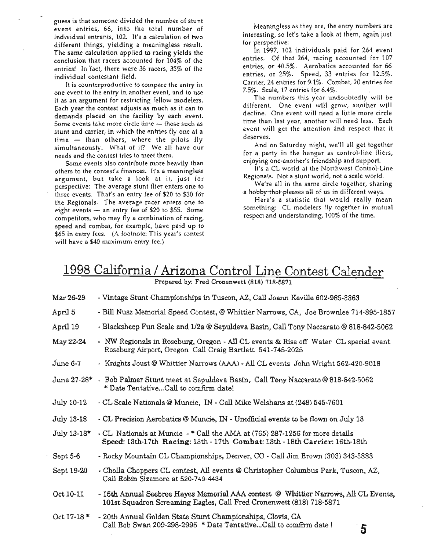guess is that someone divided the number of stunt event entries, 66, into the total number of individual entrants, 102. It's a calculation of two different things, yielding a meaningless result. The same calculation applied to racing yields the conclusion that racers accounted for 104% of the entries! In 'fact, there were 36 racers, 35% of the individual contestant field. .

It is counterproductive to compare the entry in one event to the entry in another event, and to use it as an argument for restricting fellow modelers. Each year the contest adjusts as much as it can to demands placed on the facility by each event. Some events take more circle time - those such as stunt and carrier, in which the entries fly one at a time  $-$  than others, where the pilots fly simultaneously. What of it? We all have our needs and the contest tries to meet them.

Some events also contribute more heavily than others to the contest's finances. It's a meaningless argument, but take a look at it, just for perspective: The average stunt flier enters one to three events. That's an entry fee of \$20 to \$30 for the Regionals. The average racer enters one to eight events  $-$  an entry fee of \$20 to \$55. Some competitors, who may fly a combination of racing, speed and combat, for example, have paid up to \$65 in entry fees. (A footnote: This year's contest will have a \$40 maximum entry fee.)

Meaningless as they are, the entry numbers are interesting, so let's take a look at them, again just for perspective:

In 1997, 102 individuals paid for 264 event entries. Of that 264, racing accounted for 107 entries, or 40.5%. Aerobatics accounted for 66 entries, or 25%. Speed, 33 entries for 12.5%. Carrier, 24 entries for 9.1%. Combat, 20 entries for 7.5%. Scale, 17 entries for 6.4%.

The numbers this year undoubtedly will be different. One event will grow, another will decline. One event will need a little more circle time than last year, another will need less. Each event will get the attention and respect that it deserves.

And on Saturday night, we'll all get together for a party in the hangar as control-line fliers, enjoying one-another's friendship and support.

It's a CL world at the Northwest Control-Line Regionals. Not a stunt world, not a scale world.

We're all in the same circle together, sharing a hobby-that-pleases all of us in different ways.

Here's a statistic that would really mean something: CL modelers fly together in mutual respect and understanding, 100% of the time.

# 1998 California / Arizona Control Line Contest Calender

Prepared by: Fred Cronenwett (818) 718-5871

| Mar 26-29       | - Vintage Stunt Championships in Tuscon, AZ, Call Joann Keville 602-985-3363                                                                                |
|-----------------|-------------------------------------------------------------------------------------------------------------------------------------------------------------|
| April 5         | - Bill Nusz Memorial Speed Contest, @ Whittier Narrows, CA, Joe Brownlee 714-895-1857                                                                       |
| April 19        | - Blacksheep Fun Scale and 1/2a @ Sepuldeva Basin, Call Tony Naccarato @ 818-842-5062                                                                       |
| May 22-24       | - NW Regionals in Roseburg, Oregon - All CL events & Rise off Water CL special event<br>Roseburg Airport, Oregon Call Craig Bartlett 541-745-2025           |
| June 6-7        | - Knights Joust @ Whittier Narrows (AAA) - All CL events John Wright 562-420-9018                                                                           |
|                 | June 27-28* - Bob Palmer Stunt meet at Sepuldeva Basin, Call Tony Naccarato @ 818-842-5062<br>* Date TentativeCall to comfirm date!                         |
| July 10-12      | - CL Scale Nationals @ Muncie, IN - Call Mike Welshans at (248) 545-7601                                                                                    |
| July 13-18      | - CL Precision Aerobatics @ Muncie, IN - Unofficial events to be flown on July 13                                                                           |
| July 13-18*     | - CL Nationals at Muncie - * Call the AMA at (765) 287-1256 for more details<br>Speed: 13th-17th Racing: 13th-17th Combat: 13th-18th Carrier: 16th-18th     |
| Sept 5-6        | - Rocky Mountain CL Championships, Denver, CO - Call Jim Brown (303) 343-3883                                                                               |
| Sept 19-20      | - Cholla Choppers CL contest, All events @ Christopher Columbus Park, Tuscon, AZ,<br>Call Robin Sizemore at 520-749-4434                                    |
| Oct 10-11       | - 15th Annual Seebree Hayes Memorial AAA contest @ Whittier Narrows, All CL Events,<br>101st Squadron Screaming Eagles, Call Fred Cronenwett (818) 718-5871 |
| $Oct$ 17-18 $*$ | - 20th Annual Golden State Stunt Championships, Clovis, CA<br>Call Bob Swan 209-298-2995 * Date TentativeCall to comfirm date !<br>5                        |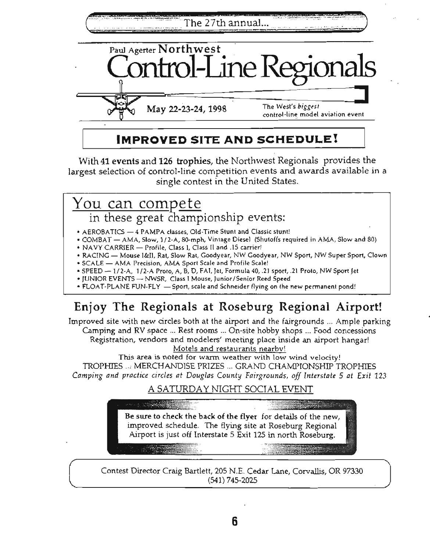The 27th annual...



# **IMPROVED SITE AND SCHEDULE!**

With 41 events and 126 trophies, the Northwest Regionals provides the largest selection of control-line competition events and awards available in a single contest in the United States.

# You can compete

in these great championship events:

- AEROBATICS 4 PAMPA classes, Old-Time Stunt and Classic stunt!
- COMBAT AMA, Slow/ 1/ 2-A, SO-mph, Vintage Diesel (Shutoffs required in AMA, Slow and 80)
- NAVY CARRIER Profile, Class I, Class II and .15 carrier!
- RACING Mouse I&II, Rat, Slow Rat, Goodyear, NW Goodyear, NW Sport, NW Super Sport, Clown
- SCALE AMA Precision, AMA Sport Scale and Profile Scale!
- SPEED 1/2-A, 1/2-A Proto, A, B, 0/ FAI, Jet, Formula 40, .21 sport, .21 Proto, NW Sport Jet
- JUNIOR EVENTS NWSR, Class I Mouse, Junior/Senior Reed Speed
- FLOAT-PLANE FUN-FLY Sport, scale and Schneider flying on the new permanent pond!

# Enjoy The Regionals at Roseburg Regional Airport!

Improved site with new circles both at the airport and the fairgrounds ... Ample parking Camping and RV space ... Rest rooms ... On-site hobby shops ... Food concessions Registration, vendors and modelers' meeting place inside an airport hangar! Motels and restaurants nearbv!

This area is noted for warm weather with low wind velocity! TROPHIES .., MERCHANDISE PRIZES ... GRAND CHAMPIONSHIP TROPHIES *Camping and practice circles at Douglas County Fairgrounds, off Interstate* 5 *at Exit 123*

## A SATURDAY NIGHT SOCIAL EVENT



Contest Director Craig Bartlett, 205 N.E. Cedar Lane, Corvallis, OR 97330 (541) 745-2025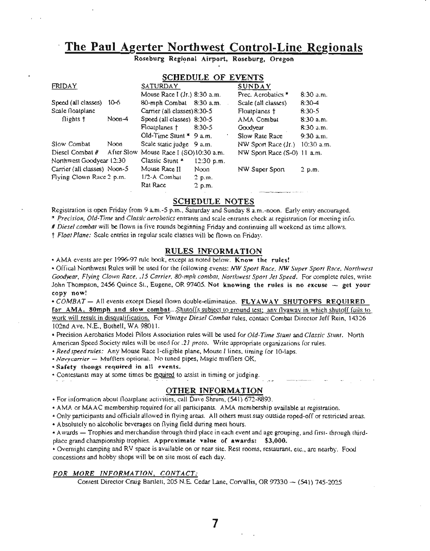## **The Paul Agerter Northwest Control-Line Regionals**

Roseburg Regional Airport, Roseburg, Oregon

### SCHEDULE OF EVENTS

| <b>FRIDAY</b>                |              | SATURDAY                               |              | SUNDAY                      |             |
|------------------------------|--------------|----------------------------------------|--------------|-----------------------------|-------------|
|                              |              | Mouse Race I (Jr.) 8:30 a.m.           |              | Prec. Acrobatics *          | $8:30$ a.m. |
| Speed (all classes)          | $10 - 6$     | 80-mph Combat 8:30 a.m.                |              | Scale (all classes)         | $8:30-4$    |
| Scale floatplane             |              | Carrier (all classes) 8:30-5           |              | Floatplanes †               | $8:30-5$    |
| flights †                    | $N$ oon $-4$ | Speed (all classes) 8:30-5             |              | AMA Combat                  | $8:30$ a.m. |
|                              |              | Floatplanes †                          | 8:30-5       | Goodvear                    | $8:30$ a.m. |
|                              |              | Old-Time Stunt $*$ 9 a.m.              |              | Slow Rate Race              | 9:30 a.m.   |
| Slow Combat                  | Noon         | Scale static judge 9 a.m.              |              | NW Sport Race (Jr.)         | 10:30 a.m.  |
| Diesel Combat #              |              | After Slow Mouse Race I (SO)10:30 a.m. |              | NW Sport Race (S-0) 11 a.m. |             |
| Northwest Goodyear 12:30     |              | Classic Stunt *                        | $12:30$ p.m. |                             |             |
| Carrier (all classes) Noon-5 |              | Mouse Race II                          | Noon         | NW Super Sport              | $2$ p.m.    |
| Flying Clown Race 2 p.m.     |              | 1/2-A Combat                           | $2$ p.m.     |                             |             |
|                              |              | Rat Race                               | $2$ p.m.     |                             |             |
|                              |              |                                        |              |                             |             |

### SCHEDULE NOTES

Registration is open Friday from 9 am.-5 p.m.• Saturday and Sunday 8 a.m.-noon. Early entry encouraged. \* Precision, Old-Time and Classic aerobatics entrants and scale entrants check at registration for meeting info.

*# Diesel combat* will be Oown in five rounds beginning Friday and continuing all weekend as time allows.

t *Float Plane:* Scale entries in regular scale classes will be Oown on Friday.

### RULES INFORMATION

• AMA events are per 1996-97 rule book. except as noted below. Know the rules!

• Offical Northwest Rules will be used for the following events: *NW Sport Race, NW Super Sport Race. Northwest Good.vear. Flying Clown Race,* .15 *Carrier, 80-mph combat, NorthweST Sport Jet Speed.* For complete rules, write John Thompson, 2456 Quince St., Eugene, OR 97405. Not knowing the rules is no excuse  $\sim$  get your copy now!

*• COMBAT* - All events except Diesel Oown double-elimination. FLYAWAY SHUTOFFS REQUIRED for AMA, 80mph and slow combat...Shutoffs subject to ground test; any flyaway in which shutoff fails to work will result in disqualification. For *Vimage Diesel Combat* rules. contact Combat Director Jeff Rein. 14326 I02nd Ave. N.E.. Bothell. WA 98011.

• Precision Aerobatics Model Pilots Association rules will be used for *Old-Time Stunt* and *Classic Stunt.* North American Speed Society rules will be used for .21 *proto.* Write appropriate organizations for rules.

*• Reedspeed rules:* Any Mouse Race I-eligible plane. Mouse I lines. timing for IO-Iaps.

• *Navycarrier* - Mufflers optional. No tuned pipes, Magic mufflers OK.

• Safety thongs required in all events.

• Contestants may at some times be required to assist in timing or judging.

### OTHER INFORMATION

• For information about floatplane activities, call Dave Shrum. (541) 672-8893.

• AMA or MAAC membership required for all participants. AMA membership available at registration.

• Only participants and officials allowed in flying areas. All others must stay outside roped-off or restricted areas.

• Absolutely no alcoholic beverages on flying field during meet hours.

• A wards — Trophies and merchandise through third place in each event and age grouping, and first- through thirdplace grand championship trophies. Approximate value of awards: \$3,000.

• Overnight camping and RV space is available on or near site. Rest rooms. restaurant. etc., are nearby. Food concessions and hobby shops will be on site most of each day.

### *FOR MORE INFORMATION, CONTACT:*

Contest Director Craig Bartlett, 205 N.E. Cedar Lane, Corvallis, OR 97330 - (541) 745-2025